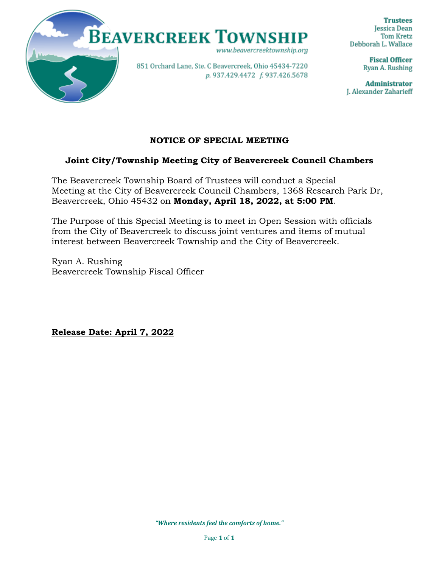

**Trustees Jessica Dean Tom Kretz** Debborah L. Wallace

> **Fiscal Officer** Ryan A. Rushing

**Administrator** J. Alexander Zaharieff

# **NOTICE OF SPECIAL MEETING**

## **Joint City/Township Meeting City of Beavercreek Council Chambers**

The Beavercreek Township Board of Trustees will conduct a Special Meeting at the City of Beavercreek Council Chambers, 1368 Research Park Dr, Beavercreek, Ohio 45432 on **Monday, April 18, 2022, at 5:00 PM**.

The Purpose of this Special Meeting is to meet in Open Session with officials from the City of Beavercreek to discuss joint ventures and items of mutual interest between Beavercreek Township and the City of Beavercreek.

Ryan A. Rushing Beavercreek Township Fiscal Officer

**Release Date: April 7, 2022**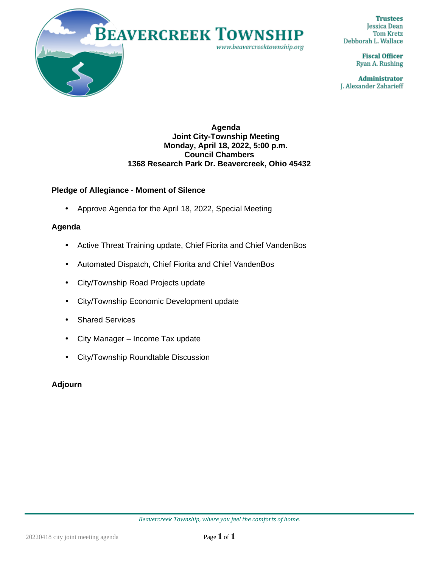

**Trustees Jessica Dean Tom Kretz** Debborah L. Wallace

> **Fiscal Officer** Ryan A. Rushing

**Administrator** J. Alexander Zaharieff

#### **Agenda Joint City-Township Meeting Monday, April 18, 2022, 5:00 p.m. Council Chambers 1368 Research Park Dr. Beavercreek, Ohio 45432**

## **Pledge of Allegiance - Moment of Silence**

Approve Agenda for the April 18, 2022, Special Meeting

#### **Agenda**

- Active Threat Training update, Chief Fiorita and Chief VandenBos l,
- Automated Dispatch, Chief Fiorita and Chief VandenBos
- City/Township Road Projects update  $\mathbf{L}^{\text{max}}$
- City/Township Economic Development update ä,
- Shared Services L.
- City Manager Income Tax update ä.
- City/Township Roundtable Discussion

### **Adjourn**